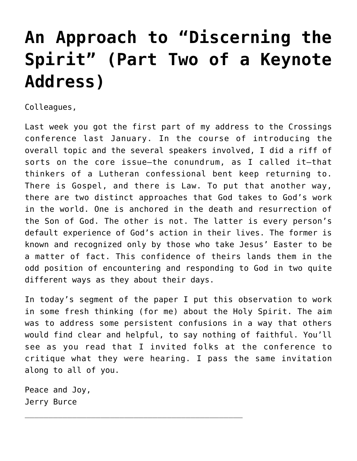## **[An Approach to "Discerning the](https://crossings.org/an-approach-to-discerning-the-spirit-part-two-of-a-keynote-address/) [Spirit" \(Part Two of a Keynote](https://crossings.org/an-approach-to-discerning-the-spirit-part-two-of-a-keynote-address/) [Address\)](https://crossings.org/an-approach-to-discerning-the-spirit-part-two-of-a-keynote-address/)**

Colleagues,

Last week you got the first part of my address to the Crossings conference last January. In the course of introducing the overall topic and the several speakers involved, I did a riff of sorts on the core issue—the conundrum, as I called it—that thinkers of a Lutheran confessional bent keep returning to. There is Gospel, and there is Law. To put that another way, there are two distinct approaches that God takes to God's work in the world. One is anchored in the death and resurrection of the Son of God. The other is not. The latter is every person's default experience of God's action in their lives. The former is known and recognized only by those who take Jesus' Easter to be a matter of fact. This confidence of theirs lands them in the odd position of encountering and responding to God in two quite different ways as they about their days.

In today's segment of the paper I put this observation to work in some fresh thinking (for me) about the Holy Spirit. The aim was to address some persistent confusions in a way that others would find clear and helpful, to say nothing of faithful. You'll see as you read that I invited folks at the conference to critique what they were hearing. I pass the same invitation along to all of you.

Peace and Joy, Jerry Burce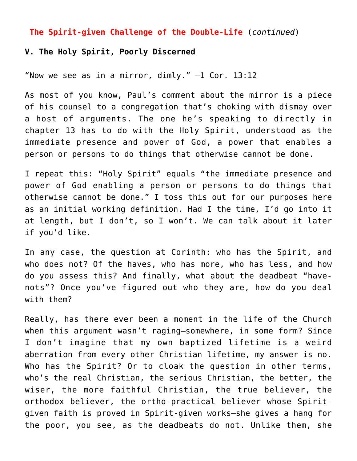## **The Spirit-given Challenge of the Double-Life** (*continued*)

## **V. The Holy Spirit, Poorly Discerned**

"Now we see as in a mirror, dimly."  $-1$  Cor. 13:12

As most of you know, Paul's comment about the mirror is a piece of his counsel to a congregation that's choking with dismay over a host of arguments. The one he's speaking to directly in chapter 13 has to do with the Holy Spirit, understood as the immediate presence and power of God, a power that enables a person or persons to do things that otherwise cannot be done.

I repeat this: "Holy Spirit" equals "the immediate presence and power of God enabling a person or persons to do things that otherwise cannot be done." I toss this out for our purposes here as an initial working definition. Had I the time, I'd go into it at length, but I don't, so I won't. We can talk about it later if you'd like.

In any case, the question at Corinth: who has the Spirit, and who does not? Of the haves, who has more, who has less, and how do you assess this? And finally, what about the deadbeat "havenots"? Once you've figured out who they are, how do you deal with them?

Really, has there ever been a moment in the life of the Church when this argument wasn't raging—somewhere, in some form? Since I don't imagine that my own baptized lifetime is a weird aberration from every other Christian lifetime, my answer is no. Who has the Spirit? Or to cloak the question in other terms, who's the real Christian, the serious Christian, the better, the wiser, the more faithful Christian, the true believer, the orthodox believer, the ortho-practical believer whose Spiritgiven faith is proved in Spirit-given works—she gives a hang for the poor, you see, as the deadbeats do not. Unlike them, she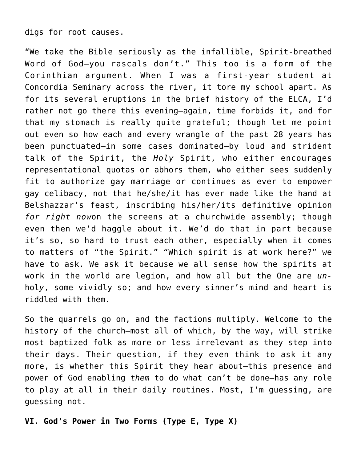digs for root causes.

"We take the Bible seriously as the infallible, Spirit-breathed Word of God—you rascals don't." This too is a form of the Corinthian argument. When I was a first-year student at Concordia Seminary across the river, it tore my school apart. As for its several eruptions in the brief history of the ELCA, I'd rather not go there this evening—again, time forbids it, and for that my stomach is really quite grateful; though let me point out even so how each and every wrangle of the past 28 years has been punctuated—in some cases dominated—by loud and strident talk of the Spirit, the *Holy* Spirit, who either encourages representational quotas or abhors them, who either sees suddenly fit to authorize gay marriage or continues as ever to empower gay celibacy, not that he/she/it has ever made like the hand at Belshazzar's feast, inscribing his/her/its definitive opinion *for right now*on the screens at a churchwide assembly; though even then we'd haggle about it. We'd do that in part because it's so, so hard to trust each other, especially when it comes to matters of "the Spirit." "Which spirit is at work here?" we have to ask. We ask it because we all sense how the spirits at work in the world are legion, and how all but the One are *un*hol*y*, some vividly so; and how every sinner's mind and heart is riddled with them.

So the quarrels go on, and the factions multiply. Welcome to the history of the church—most all of which, by the way, will strike most baptized folk as more or less irrelevant as they step into their days. Their question, if they even think to ask it any more, is whether this Spirit they hear about—this presence and power of God enabling *them* to do what can't be done—has any role to play at all in their daily routines. Most, I'm guessing, are guessing not.

**VI. God's Power in Two Forms (Type E, Type X)**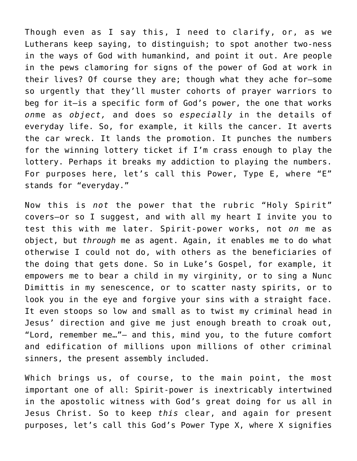Though even as I say this, I need to clarify, or, as we Lutherans keep saying, to distinguish; to spot another two-ness in the ways of God with humankind, and point it out. Are people in the pews clamoring for signs of the power of God at work in their lives? Of course they are; though what they ache for—some so urgently that they'll muster cohorts of prayer warriors to beg for it—is a specific form of God's power, the one that works *on*me as *object,* and does so *especially* in the details of everyday life. So, for example, it kills the cancer. It averts the car wreck. It lands the promotion. It punches the numbers for the winning lottery ticket if I'm crass enough to play the lottery. Perhaps it breaks my addiction to playing the numbers. For purposes here, let's call this Power, Type E, where "E" stands for "everyday."

Now this is *not* the power that the rubric "Holy Spirit" covers—or so I suggest, and with all my heart I invite you to test this with me later. Spirit-power works, not *on* me as object, but *through* me as agent. Again, it enables me to do what otherwise I could not do, with others as the beneficiaries of the doing that gets done. So in Luke's Gospel, for example, it empowers me to bear a child in my virginity, or to sing a Nunc Dimittis in my senescence, or to scatter nasty spirits, or to look you in the eye and forgive your sins with a straight face. It even stoops so low and small as to twist my criminal head in Jesus' direction and give me just enough breath to croak out, "Lord, remember me…"— and this, mind you, to the future comfort and edification of millions upon millions of other criminal sinners, the present assembly included.

Which brings us, of course, to the main point, the most important one of all: Spirit-power is inextricably intertwined in the apostolic witness with God's great doing for us all in Jesus Christ. So to keep *this* clear, and again for present purposes, let's call this God's Power Type X, where X signifies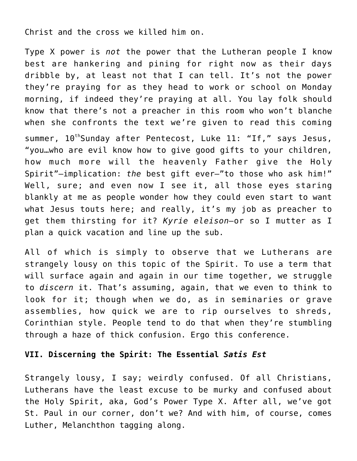Christ and the cross we killed him on.

Type X power is *not* the power that the Lutheran people I know best are hankering and pining for right now as their days dribble by, at least not that I can tell. It's not the power they're praying for as they head to work or school on Monday morning, if indeed they're praying at all. You lay folk should know that there's not a preacher in this room who won't blanche when she confronts the text we're given to read this coming summer, 10<sup>th</sup>Sunday after Pentecost, Luke 11: "If," says Jesus, "you…who are evil know how to give good gifts to your children, how much more will the heavenly Father give the Holy Spirit"—implication: *the* best gift ever—"to those who ask him!" Well, sure; and even now I see it, all those eyes staring blankly at me as people wonder how they could even start to want what Jesus touts here; and really, it's my job as preacher to get them thirsting for it? *Kyrie eleison—*or so I mutter as I plan a quick vacation and line up the sub.

All of which is simply to observe that we Lutherans are strangely lousy on this topic of the Spirit. To use a term that will surface again and again in our time together, we struggle to *discern* it. That's assuming, again, that we even to think to look for it; though when we do, as in seminaries or grave assemblies, how quick we are to rip ourselves to shreds, Corinthian style. People tend to do that when they're stumbling through a haze of thick confusion. Ergo this conference.

## **VII. Discerning the Spirit: The Essential** *Satis Est*

Strangely lousy, I say; weirdly confused. Of all Christians, Lutherans have the least excuse to be murky and confused about the Holy Spirit, aka, God's Power Type X. After all, we've got St. Paul in our corner, don't we? And with him, of course, comes Luther, Melanchthon tagging along.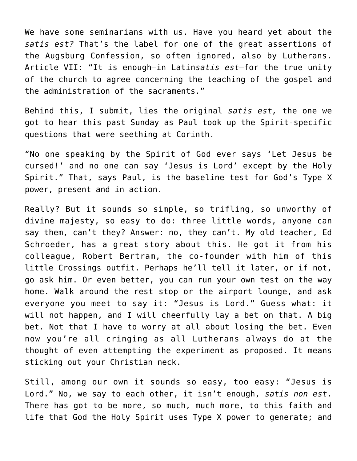We have some seminarians with us. Have you heard yet about the *satis est?* That's the label for one of the great assertions of the Augsburg Confession, so often ignored, also by Lutherans. Article VII: "It is enough—in Latin*satis est*—for the true unity of the church to agree concerning the teaching of the gospel and the administration of the sacraments."

Behind this, I submit, lies the original *satis est,* the one we got to hear this past Sunday as Paul took up the Spirit-specific questions that were seething at Corinth.

"No one speaking by the Spirit of God ever says 'Let Jesus be cursed!' and no one can say 'Jesus is Lord' except by the Holy Spirit." That, says Paul, is the baseline test for God's Type X power, present and in action.

Really? But it sounds so simple, so trifling, so unworthy of divine majesty, so easy to do: three little words, anyone can say them, can't they? Answer: no, they can't. My old teacher, Ed Schroeder, has a great story about this. He got it from his colleague, Robert Bertram, the co-founder with him of this little Crossings outfit. Perhaps he'll tell it later, or if not, go ask him. Or even better, you can run your own test on the way home. Walk around the rest stop or the airport lounge, and ask everyone you meet to say it: "Jesus is Lord." Guess what: it will not happen, and I will cheerfully lay a bet on that. A big bet. Not that I have to worry at all about losing the bet. Even now you're all cringing as all Lutherans always do at the thought of even attempting the experiment as proposed. It means sticking out your Christian neck.

Still, among our own it sounds so easy, too easy: "Jesus is Lord." No, we say to each other, it isn't enough, *satis non est*. There has got to be more, so much, much more, to this faith and life that God the Holy Spirit uses Type X power to generate; and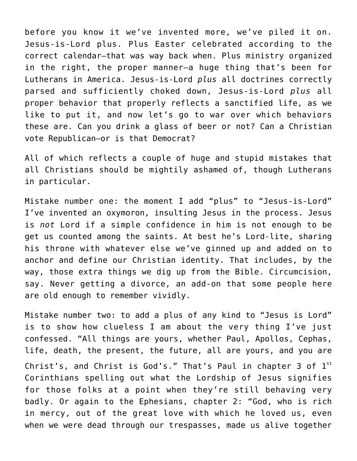before you know it we've invented more, we've piled it on. Jesus-is-Lord plus. Plus Easter celebrated according to the correct calendar—that was way back when. Plus ministry organized in the right, the proper manner—a huge thing that's been for Lutherans in America. Jesus-is-Lord *plus* all doctrines correctly parsed and sufficiently choked down, Jesus-is-Lord *plus* all proper behavior that properly reflects a sanctified life, as we like to put it, and now let's go to war over which behaviors these are. Can you drink a glass of beer or not? Can a Christian vote Republican—or is that Democrat?

All of which reflects a couple of huge and stupid mistakes that all Christians should be mightily ashamed of, though Lutherans in particular.

Mistake number one: the moment I add "plus" to "Jesus-is-Lord" I've invented an oxymoron, insulting Jesus in the process. Jesus is *not* Lord if a simple confidence in him is not enough to be get us counted among the saints. At best he's Lord-lite, sharing his throne with whatever else we've ginned up and added on to anchor and define our Christian identity. That includes, by the way, those extra things we dig up from the Bible. Circumcision, say. Never getting a divorce, an add-on that some people here are old enough to remember vividly.

Mistake number two: to add a plus of any kind to "Jesus is Lord" is to show how clueless I am about the very thing I've just confessed. "All things are yours, whether Paul, Apollos, Cephas, life, death, the present, the future, all are yours, and you are Christ's, and Christ is God's." That's Paul in chapter 3 of  $1^{st}$ Corinthians spelling out what the Lordship of Jesus signifies for those folks at a point when they're still behaving very badly. Or again to the Ephesians, chapter 2: "God, who is rich in mercy, out of the great love with which he loved us, even when we were dead through our trespasses, made us alive together